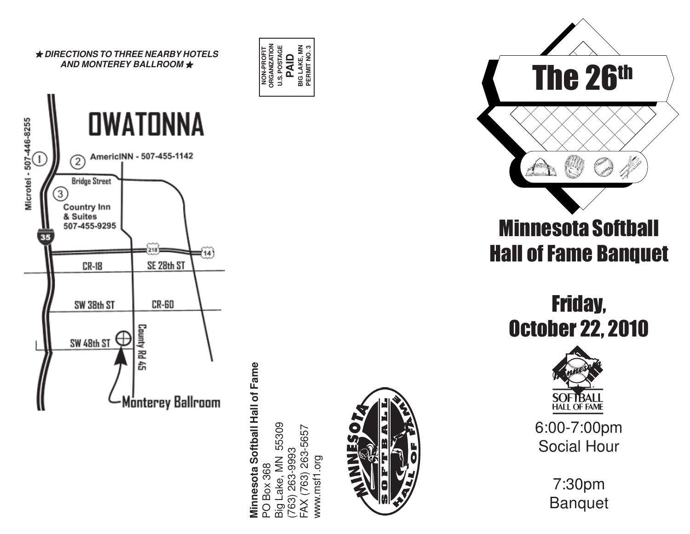

Minnesota Softball Hall of Fame **Minnesota Softball Hall of Fame BOX 368** PO Box 368

**NON-PROFIT ORGANIZATION**

**NON-PROFIT**<br>ORGANIZATIOI

U.S. POSTAGE<br> **PAID**<br>
BIG LAKE, MN<br>
PERMIT NO. 3 **BIG LAKE, MN PERMIT NO. 3**

Big Lake, MN 55309 Big Lake, MN 55309 763) 263-9993<br>FAX (763) 263-5657 www.msf1.org www.msf1.org





Friday, October 22, 2010



6:00-7:00pm Social Hour

> 7:30pm Banquet